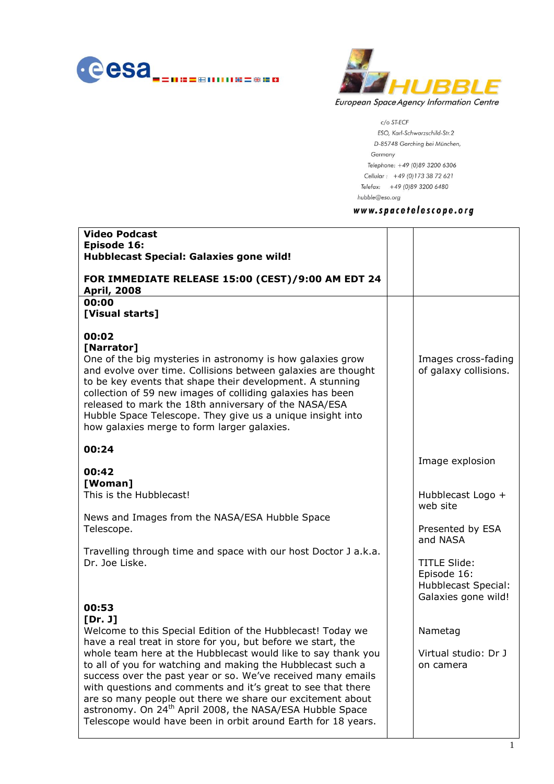



 $c$ /o ST-ECF ESO, Karl-Schwarzschild-Str.2 D-85748 Garching bei München, Germany Telephone: +49 (0)89 3200 6306 Cellular: +49 (0) 173 38 72 621 Telefax: +49 (0)89 3200 6480 hubble@eso.org

# www.spacetelescope.org

| <b>Video Podcast</b><br>Episode 16:<br><b>Hubblecast Special: Galaxies gone wild!</b><br>FOR IMMEDIATE RELEASE 15:00 (CEST)/9:00 AM EDT 24                                                                                                                                                                                                                                                                                                                                                                                                                                                                    |                                                                                                                                                   |
|---------------------------------------------------------------------------------------------------------------------------------------------------------------------------------------------------------------------------------------------------------------------------------------------------------------------------------------------------------------------------------------------------------------------------------------------------------------------------------------------------------------------------------------------------------------------------------------------------------------|---------------------------------------------------------------------------------------------------------------------------------------------------|
| <b>April, 2008</b><br>00:00                                                                                                                                                                                                                                                                                                                                                                                                                                                                                                                                                                                   |                                                                                                                                                   |
| [Visual starts]                                                                                                                                                                                                                                                                                                                                                                                                                                                                                                                                                                                               |                                                                                                                                                   |
| 00:02<br>[Narrator]<br>One of the big mysteries in astronomy is how galaxies grow<br>and evolve over time. Collisions between galaxies are thought<br>to be key events that shape their development. A stunning<br>collection of 59 new images of colliding galaxies has been<br>released to mark the 18th anniversary of the NASA/ESA<br>Hubble Space Telescope. They give us a unique insight into<br>how galaxies merge to form larger galaxies.                                                                                                                                                           | Images cross-fading<br>of galaxy collisions.                                                                                                      |
| 00:24                                                                                                                                                                                                                                                                                                                                                                                                                                                                                                                                                                                                         | Image explosion                                                                                                                                   |
| 00:42<br>[Woman]<br>This is the Hubblecast!<br>News and Images from the NASA/ESA Hubble Space<br>Telescope.<br>Travelling through time and space with our host Doctor J a.k.a.<br>Dr. Joe Liske.<br>00:53                                                                                                                                                                                                                                                                                                                                                                                                     | Hubblecast Logo +<br>web site<br>Presented by ESA<br>and NASA<br><b>TITLE Slide:</b><br>Episode 16:<br>Hubblecast Special:<br>Galaxies gone wild! |
| [Dr. J]<br>Welcome to this Special Edition of the Hubblecast! Today we<br>have a real treat in store for you, but before we start, the<br>whole team here at the Hubblecast would like to say thank you<br>to all of you for watching and making the Hubblecast such a<br>success over the past year or so. We've received many emails<br>with questions and comments and it's great to see that there<br>are so many people out there we share our excitement about<br>astronomy. On 24 <sup>th</sup> April 2008, the NASA/ESA Hubble Space<br>Telescope would have been in orbit around Earth for 18 years. | Nametag<br>Virtual studio: Dr J<br>on camera                                                                                                      |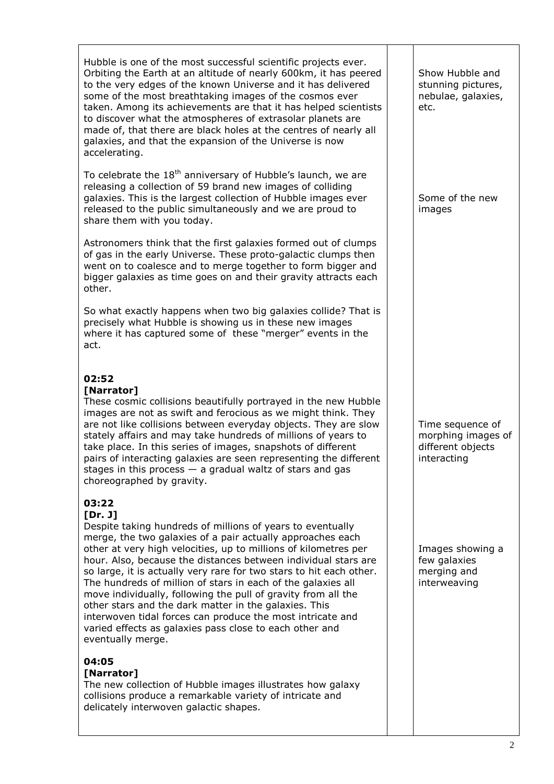Hubble is one of the most successful scientific projects ever. Orbiting the Earth at an altitude of nearly 600km, it has peered to the very edges of the known Universe and it has delivered some of the most breathtaking images of the cosmos ever taken. Among its achievements are that it has helped scientists to discover what the atmospheres of extrasolar planets are made of, that there are black holes at the centres of nearly all galaxies, and that the expansion of the Universe is now accelerating.

To celebrate the  $18<sup>th</sup>$  anniversary of Hubble's launch, we are releasing a collection of 59 brand new images of colliding galaxies. This is the largest collection of Hubble images ever released to the public simultaneously and we are proud to share them with you today.

Astronomers think that the first galaxies formed out of clumps of gas in the early Universe. These proto-galactic clumps then went on to coalesce and to merge together to form bigger and bigger galaxies as time goes on and their gravity attracts each other.

So what exactly happens when two big galaxies collide? That is precisely what Hubble is showing us in these new images where it has captured some of these "merger" events in the act.

## **02:52**

#### **[Narrator]**

These cosmic collisions beautifully portrayed in the new Hubble images are not as swift and ferocious as we might think. They are not like collisions between everyday objects. They are slow stately affairs and may take hundreds of millions of years to take place. In this series of images, snapshots of different pairs of interacting galaxies are seen representing the different stages in this process  $-$  a gradual waltz of stars and gas choreographed by gravity.

## **03:22**

### **[Dr. J]**

Despite taking hundreds of millions of years to eventually merge, the two galaxies of a pair actually approaches each other at very high velocities, up to millions of kilometres per hour. Also, because the distances between individual stars are so large, it is actually very rare for two stars to hit each other. The hundreds of million of stars in each of the galaxies all move individually, following the pull of gravity from all the other stars and the dark matter in the galaxies. This interwoven tidal forces can produce the most intricate and varied effects as galaxies pass close to each other and eventually merge.

### **04:05**

### **[Narrator]**

The new collection of Hubble images illustrates how galaxy collisions produce a remarkable variety of intricate and delicately interwoven galactic shapes.

Show Hubble and stunning pictures, nebulae, galaxies, etc.

Some of the new images

Time sequence of morphing images of different objects interacting

Images showing a few galaxies merging and interweaving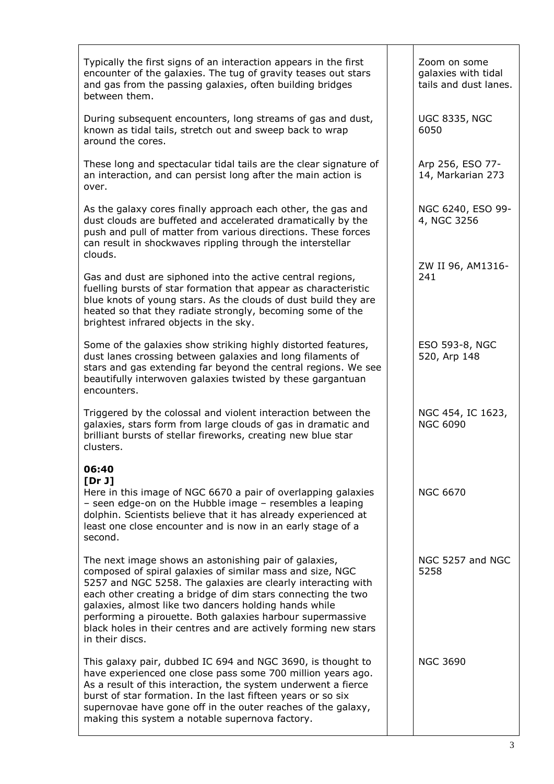| Typically the first signs of an interaction appears in the first<br>encounter of the galaxies. The tug of gravity teases out stars<br>and gas from the passing galaxies, often building bridges<br>between them.                                                                                                                                                                                                                                                | Zoom on some<br>galaxies with tidal<br>tails and dust lanes. |
|-----------------------------------------------------------------------------------------------------------------------------------------------------------------------------------------------------------------------------------------------------------------------------------------------------------------------------------------------------------------------------------------------------------------------------------------------------------------|--------------------------------------------------------------|
| During subsequent encounters, long streams of gas and dust,<br>known as tidal tails, stretch out and sweep back to wrap<br>around the cores.                                                                                                                                                                                                                                                                                                                    | <b>UGC 8335, NGC</b><br>6050                                 |
| These long and spectacular tidal tails are the clear signature of<br>an interaction, and can persist long after the main action is<br>over.                                                                                                                                                                                                                                                                                                                     | Arp 256, ESO 77-<br>14, Markarian 273                        |
| As the galaxy cores finally approach each other, the gas and<br>dust clouds are buffeted and accelerated dramatically by the<br>push and pull of matter from various directions. These forces<br>can result in shockwaves rippling through the interstellar<br>clouds.                                                                                                                                                                                          | NGC 6240, ESO 99-<br>4, NGC 3256                             |
| Gas and dust are siphoned into the active central regions,<br>fuelling bursts of star formation that appear as characteristic<br>blue knots of young stars. As the clouds of dust build they are<br>heated so that they radiate strongly, becoming some of the<br>brightest infrared objects in the sky.                                                                                                                                                        | ZW II 96, AM1316-<br>241                                     |
| Some of the galaxies show striking highly distorted features,<br>dust lanes crossing between galaxies and long filaments of<br>stars and gas extending far beyond the central regions. We see<br>beautifully interwoven galaxies twisted by these gargantuan<br>encounters.                                                                                                                                                                                     | ESO 593-8, NGC<br>520, Arp 148                               |
| Triggered by the colossal and violent interaction between the<br>galaxies, stars form from large clouds of gas in dramatic and<br>brilliant bursts of stellar fireworks, creating new blue star<br>clusters.                                                                                                                                                                                                                                                    | NGC 454, IC 1623,<br><b>NGC 6090</b>                         |
| 06:40<br>[Dr J]<br>Here in this image of NGC 6670 a pair of overlapping galaxies<br>- seen edge-on on the Hubble image $-$ resembles a leaping<br>dolphin. Scientists believe that it has already experienced at<br>least one close encounter and is now in an early stage of a<br>second.                                                                                                                                                                      | <b>NGC 6670</b>                                              |
| The next image shows an astonishing pair of galaxies,<br>composed of spiral galaxies of similar mass and size, NGC<br>5257 and NGC 5258. The galaxies are clearly interacting with<br>each other creating a bridge of dim stars connecting the two<br>galaxies, almost like two dancers holding hands while<br>performing a pirouette. Both galaxies harbour supermassive<br>black holes in their centres and are actively forming new stars<br>in their discs. | NGC 5257 and NGC<br>5258                                     |
| This galaxy pair, dubbed IC 694 and NGC 3690, is thought to<br>have experienced one close pass some 700 million years ago.<br>As a result of this interaction, the system underwent a fierce<br>burst of star formation. In the last fifteen years or so six<br>supernovae have gone off in the outer reaches of the galaxy,<br>making this system a notable supernova factory.                                                                                 | <b>NGC 3690</b>                                              |